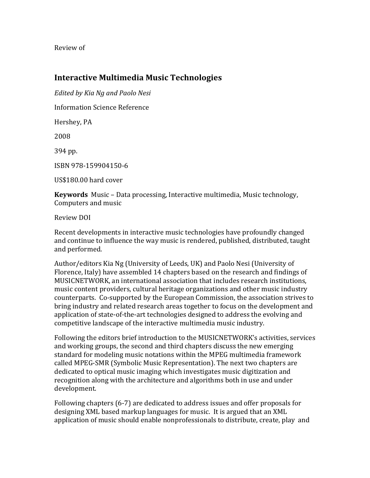Review of

## **Interactive Multimedia Music Technologies**

*Edited by Kia Ng and Paolo Nesi*

Information Science Reference

Hershey, PA

2008

394 pp.

ISBN 978‐159904150‐6

US\$180.00 hard cover

**Keywords** Music – Data processing, Interactive multimedia, Music technology, Computers and music

Review DOI

Recent developments in interactive music technologies have profoundly changed and continue to influence the way music is rendered, published, distributed, taught and performed.

Author/editors Kia Ng (University of Leeds, UK) and Paolo Nesi (University of Florence, Italy) have assembled 14 chapters based on the research and findings of MUSICNETWORK, an international association that includes research institutions, music content providers, cultural heritage organizations and other music industry counterparts. Co‐supported by the European Commission, the association strives to bring industry and related research areas together to focus on the development and application of state‐of‐the‐art technologies designed to address the evolving and competitive landscape of the interactive multimedia music industry.

Following the editors brief introduction to the MUSICNETWORK's activities, services and working groups, the second and third chapters discuss the new emerging standard for modeling music notations within the MPEG multimedia framework called MPEG‐SMR (Symbolic Music Representation). The next two chapters are dedicated to optical music imaging which investigates music digitization and recognition along with the architecture and algorithms both in use and under development.

Following chapters (6‐7) are dedicated to address issues and offer proposals for designing XML based markup languages for music. It is argued that an XML application of music should enable nonprofessionals to distribute, create, play and